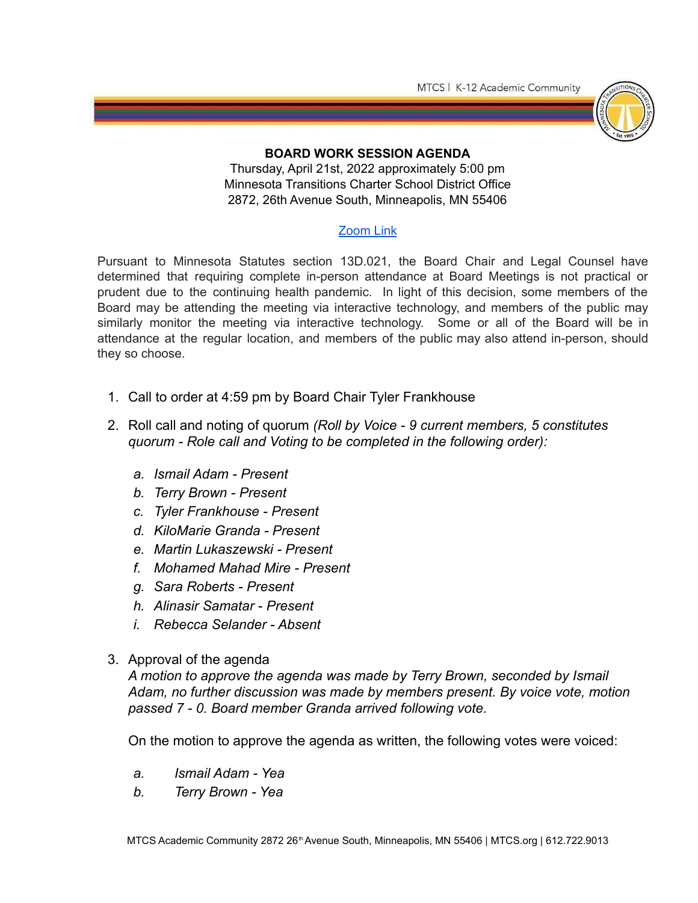MTCS | K-12 Academic Community



## **BOARD WORK SESSION AGENDA**

Thursday, April 21st, 2022 approximately 5:00 pm Minnesota Transitions Charter School District Office 2872, 26th Avenue South, Minneapolis, MN 55406

## [Zoom](https://us05web.zoom.us/j/89072587599?pwd=Rm9kWWc5eVhYWnBnbnNLRTR5UkJ1UT09) Link

Pursuant to Minnesota Statutes section 13D.021, the Board Chair and Legal Counsel have determined that requiring complete in-person attendance at Board Meetings is not practical or prudent due to the continuing health pandemic. In light of this decision, some members of the Board may be attending the meeting via interactive technology, and members of the public may similarly monitor the meeting via interactive technology. Some or all of the Board will be in attendance at the regular location, and members of the public may also attend in-person, should they so choose.

- 1. Call to order at 4:59 pm by Board Chair Tyler Frankhouse
- 2. Roll call and noting of quorum *(Roll by Voice 9 current members, 5 constitutes quorum - Role call and Voting to be completed in the following order):*
	- *a. Ismail Adam Present*
	- *b. Terry Brown Present*
	- *c. Tyler Frankhouse Present*
	- *d. KiloMarie Granda Present*
	- *e. Martin Lukaszewski Present*
	- *f. Mohamed Mahad Mire Present*
	- *g. Sara Roberts Present*
	- *h. Alinasir Samatar Present*
	- *i. Rebecca Selander Absent*
- 3. Approval of the agenda

*A motion to approve the agenda was made by Terry Brown, seconded by Ismail Adam, no further discussion was made by members present. By voice vote, motion passed 7 - 0. Board member Granda arrived following vote.*

On the motion to approve the agenda as written, the following votes were voiced:

- *a. Ismail Adam Yea*
- *b. Terry Brown Yea*